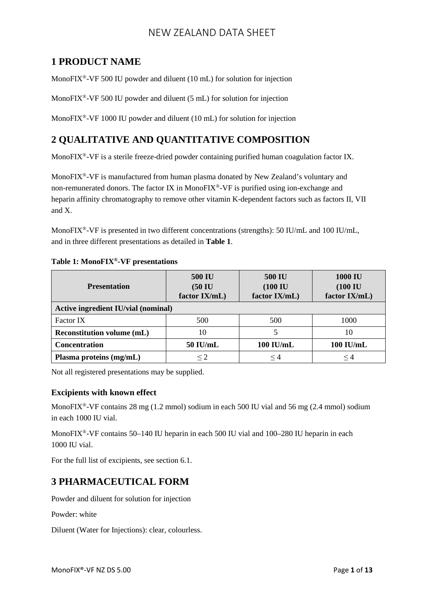## **1 PRODUCT NAME**

MonoFIX<sup>®</sup>-VF 500 IU powder and diluent (10 mL) for solution for injection

MonoFIX<sup>®</sup>-VF 500 IU powder and diluent (5 mL) for solution for injection

MonoFIX<sup>®</sup>-VF 1000 IU powder and diluent (10 mL) for solution for injection

## **2 QUALITATIVE AND QUANTITATIVE COMPOSITION**

MonoFIX®-VF is a sterile freeze-dried powder containing purified human coagulation factor IX.

MonoFIX®-VF is manufactured from human plasma donated by New Zealand's voluntary and non-remunerated donors. The factor IX in MonoFIX®-VF is purified using ion-exchange and heparin affinity chromatography to remove other vitamin K-dependent factors such as factors II, VII and X.

MonoFIX<sup>®</sup>-VF is presented in two different concentrations (strengths): 50 IU/mL and 100 IU/mL, and in three different presentations as detailed in **Table 1**.

| <b>Presentation</b>                 | <b>500 IU</b><br>$(50 \mathrm{IU}$<br>factor IX/mL) | <b>500 IU</b><br>$(100 \mathrm{IU}$<br>factor IX/mL) | <b>1000 IU</b><br>$(100$ IU<br>factor IX/mL) |
|-------------------------------------|-----------------------------------------------------|------------------------------------------------------|----------------------------------------------|
| Active ingredient IU/vial (nominal) |                                                     |                                                      |                                              |
| <b>Factor IX</b>                    | 500                                                 | 500                                                  | 1000                                         |
| <b>Reconstitution volume (mL)</b>   | 10                                                  |                                                      | 10                                           |
| Concentration                       | 50 IU/mL                                            | 100 IU/mL                                            | 100 IU/mL                                    |
| Plasma proteins (mg/mL)             | <2                                                  | $\leq 4$                                             | $\leq 4$                                     |

#### **Table 1: MonoFIX®-VF presentations**

Not all registered presentations may be supplied.

#### **Excipients with known effect**

MonoFIX<sup>®</sup>-VF contains 28 mg (1.2 mmol) sodium in each 500 IU vial and 56 mg (2.4 mmol) sodium in each 1000 IU vial.

MonoFIX®-VF contains 50–140 IU heparin in each 500 IU vial and 100–280 IU heparin in each 1000 IU vial.

For the full list of excipients, see section 6.1.

## **3 PHARMACEUTICAL FORM**

Powder and diluent for solution for injection

Powder: white

Diluent (Water for Injections): clear, colourless.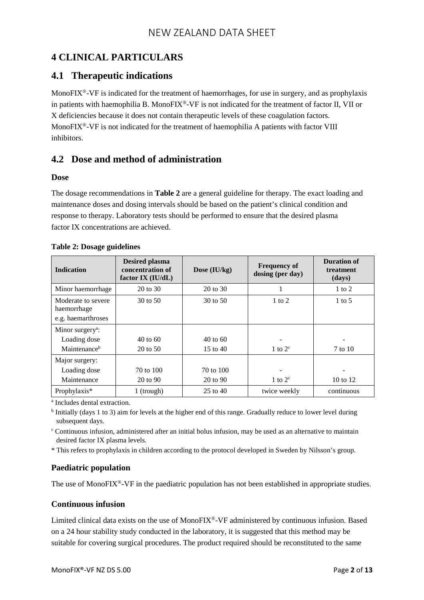# **4 CLINICAL PARTICULARS**

### **4.1 Therapeutic indications**

MonoFIX<sup>®</sup>-VF is indicated for the treatment of haemorrhages, for use in surgery, and as prophylaxis in patients with haemophilia B. MonoFIX®-VF is not indicated for the treatment of factor II, VII or X deficiencies because it does not contain therapeutic levels of these coagulation factors. MonoFIX®-VF is not indicated for the treatment of haemophilia A patients with factor VIII inhibitors.

## **4.2 Dose and method of administration**

#### **Dose**

The dosage recommendations in **Table 2** are a general guideline for therapy. The exact loading and maintenance doses and dosing intervals should be based on the patient's clinical condition and response to therapy. Laboratory tests should be performed to ensure that the desired plasma factor IX concentrations are achieved.

| <b>Indication</b>                                       | <b>Desired plasma</b><br>concentration of<br>factor IX (IU/dL) | Dose (IU/kg)        | <b>Frequency of</b><br>dosing (per day) | <b>Duration of</b><br>treatment<br>(days) |
|---------------------------------------------------------|----------------------------------------------------------------|---------------------|-----------------------------------------|-------------------------------------------|
| Minor haemorrhage                                       | $20 \text{ to } 30$                                            | 20 to 30            |                                         | $1$ to $2$                                |
| Moderate to severe<br>haemorrhage<br>e.g. haemarthroses | $30 \text{ to } 50$                                            | $30 \text{ to } 50$ | $1$ to $2$                              | $1 \text{ to } 5$                         |
| Minor surgery <sup>a</sup> :                            |                                                                |                     |                                         |                                           |
| Loading dose                                            | $40 \text{ to } 60$                                            | $40 \text{ to } 60$ |                                         |                                           |
| Maintenance <sup>b</sup>                                | $20 \text{ to } 50$                                            | $15$ to $40$        | 1 to $2^c$                              | 7 to 10                                   |
| Major surgery:                                          |                                                                |                     |                                         |                                           |
| Loading dose                                            | 70 to 100                                                      | 70 to 100           |                                         |                                           |
| Maintenance                                             | 20 to 90                                                       | 20 to 90            | 1 to $2^c$                              | $10 \text{ to } 12$                       |
| Prophylaxis*                                            | 1 (trough)                                                     | 25 to 40            | twice weekly                            | continuous                                |

|  | <b>Table 2: Dosage guidelines</b> |  |
|--|-----------------------------------|--|
|  |                                   |  |

<sup>a</sup> Includes dental extraction.

<sup>b</sup> Initially (days 1 to 3) aim for levels at the higher end of this range. Gradually reduce to lower level during subsequent days.

<sup>c</sup> Continuous infusion, administered after an initial bolus infusion, may be used as an alternative to maintain desired factor IX plasma levels.

\* This refers to prophylaxis in children according to the protocol developed in Sweden by Nilsson's group.

### **Paediatric population**

The use of MonoFIX®**-**VF in the paediatric population has not been established in appropriate studies.

#### **Continuous infusion**

Limited clinical data exists on the use of MonoFIX<sup>®</sup>-VF administered by continuous infusion. Based on a 24 hour stability study conducted in the laboratory, it is suggested that this method may be suitable for covering surgical procedures. The product required should be reconstituted to the same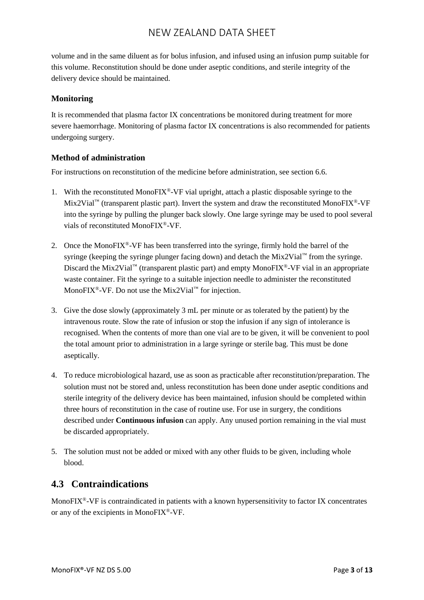volume and in the same diluent as for bolus infusion, and infused using an infusion pump suitable for this volume. Reconstitution should be done under aseptic conditions, and sterile integrity of the delivery device should be maintained.

#### **Monitoring**

It is recommended that plasma factor IX concentrations be monitored during treatment for more severe haemorrhage. Monitoring of plasma factor IX concentrations is also recommended for patients undergoing surgery.

#### **Method of administration**

For instructions on reconstitution of the medicine before administration, see section 6.6.

- 1. With the reconstituted MonoFIX<sup>®</sup>-VF vial upright, attach a plastic disposable syringe to the Mix2Vial<sup>™</sup> (transparent plastic part). Invert the system and draw the reconstituted MonoFIX<sup>®</sup>-VF into the syringe by pulling the plunger back slowly. One large syringe may be used to pool several vials of reconstituted MonoFIX®-VF.
- 2. Once the MonoFIX<sup>®</sup>-VF has been transferred into the syringe, firmly hold the barrel of the syringe (keeping the syringe plunger facing down) and detach the Mix2Vial<sup>™</sup> from the syringe. Discard the Mix2Vial<sup>™</sup> (transparent plastic part) and empty MonoFIX<sup>®</sup>-VF vial in an appropriate waste container. Fit the syringe to a suitable injection needle to administer the reconstituted MonoFIX<sup>®</sup>-VF. Do not use the Mix2Vial<sup>™</sup> for injection.
- 3. Give the dose slowly (approximately 3 mL per minute or as tolerated by the patient) by the intravenous route. Slow the rate of infusion or stop the infusion if any sign of intolerance is recognised. When the contents of more than one vial are to be given, it will be convenient to pool the total amount prior to administration in a large syringe or sterile bag. This must be done aseptically.
- 4. To reduce microbiological hazard, use as soon as practicable after reconstitution/preparation. The solution must not be stored and, unless reconstitution has been done under aseptic conditions and sterile integrity of the delivery device has been maintained, infusion should be completed within three hours of reconstitution in the case of routine use. For use in surgery, the conditions described under **Continuous infusion** can apply. Any unused portion remaining in the vial must be discarded appropriately.
- 5. The solution must not be added or mixed with any other fluids to be given, including whole blood.

### **4.3 Contraindications**

MonoFIX<sup>®</sup>-VF is contraindicated in patients with a known hypersensitivity to factor IX concentrates or any of the excipients in MonoFIX®-VF.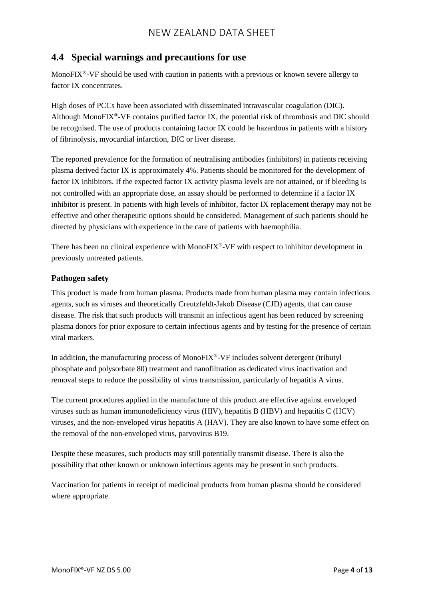### **4.4 Special warnings and precautions for use**

MonoFIX<sup>®</sup>-VF should be used with caution in patients with a previous or known severe allergy to factor IX concentrates.

High doses of PCCs have been associated with disseminated intravascular coagulation (DIC). Although MonoFIX®-VF contains purified factor IX, the potential risk of thrombosis and DIC should be recognised. The use of products containing factor IX could be hazardous in patients with a history of fibrinolysis, myocardial infarction, DIC or liver disease.

The reported prevalence for the formation of neutralising antibodies (inhibitors) in patients receiving plasma derived factor IX is approximately 4%. Patients should be monitored for the development of factor IX inhibitors. If the expected factor IX activity plasma levels are not attained, or if bleeding is not controlled with an appropriate dose, an assay should be performed to determine if a factor IX inhibitor is present. In patients with high levels of inhibitor, factor IX replacement therapy may not be effective and other therapeutic options should be considered. Management of such patients should be directed by physicians with experience in the care of patients with haemophilia.

There has been no clinical experience with MonoFIX®-VF with respect to inhibitor development in previously untreated patients.

#### **Pathogen safety**

This product is made from human plasma. Products made from human plasma may contain infectious agents, such as viruses and theoretically Creutzfeldt-Jakob Disease (CJD) agents, that can cause disease. The risk that such products will transmit an infectious agent has been reduced by screening plasma donors for prior exposure to certain infectious agents and by testing for the presence of certain viral markers.

In addition, the manufacturing process of MonoFIX®-VF includes solvent detergent (tributyl phosphate and polysorbate 80) treatment and nanofiltration as dedicated virus inactivation and removal steps to reduce the possibility of virus transmission, particularly of hepatitis A virus.

The current procedures applied in the manufacture of this product are effective against enveloped viruses such as human immunodeficiency virus (HIV), hepatitis B (HBV) and hepatitis C (HCV) viruses, and the non-enveloped virus hepatitis A (HAV). They are also known to have some effect on the removal of the non-enveloped virus, parvovirus B19.

Despite these measures, such products may still potentially transmit disease. There is also the possibility that other known or unknown infectious agents may be present in such products.

Vaccination for patients in receipt of medicinal products from human plasma should be considered where appropriate.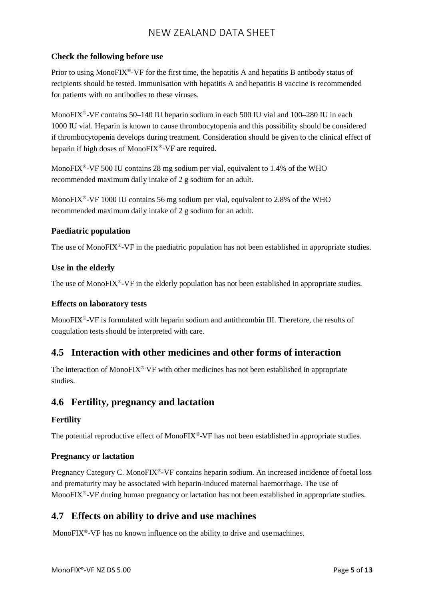#### **Check the following before use**

Prior to using MonoFIX®-VF for the first time, the hepatitis A and hepatitis B antibody status of recipients should be tested. Immunisation with hepatitis A and hepatitis B vaccine is recommended for patients with no antibodies to these viruses.

MonoFIX®-VF contains 50–140 IU heparin sodium in each 500 IU vial and 100–280 IU in each 1000 IU vial. Heparin is known to cause thrombocytopenia and this possibility should be considered if thrombocytopenia develops during treatment. Consideration should be given to the clinical effect of heparin if high doses of MonoFIX®-VF are required.

MonoFIX®-VF 500 IU contains 28 mg sodium per vial, equivalent to 1.4% of the WHO recommended maximum daily intake of 2 g sodium for an adult.

MonoFIX<sup>®</sup>-VF 1000 IU contains 56 mg sodium per vial, equivalent to 2.8% of the WHO recommended maximum daily intake of 2 g sodium for an adult.

#### **Paediatric population**

The use of MonoFIX®**-**VF in the paediatric population has not been established in appropriate studies.

#### **Use in the elderly**

The use of MonoFIX®**-**VF in the elderly population has not been established in appropriate studies.

#### **Effects on laboratory tests**

MonoFIX<sup>®</sup>-VF is formulated with heparin sodium and antithrombin III. Therefore, the results of coagulation tests should be interpreted with care.

### **4.5 Interaction with other medicines and other forms of interaction**

The interaction of MonoFIX<sup>®</sup> VF with other medicines has not been established in appropriate studies.

### **4.6 Fertility, pregnancy and lactation**

#### **Fertility**

The potential reproductive effect of MonoFIX<sup>®</sup>-VF has not been established in appropriate studies.

#### **Pregnancy or lactation**

Pregnancy Category C. MonoFIX®**-**VF contains heparin sodium. An increased incidence of foetal loss and prematurity may be associated with heparin-induced maternal haemorrhage. The use of MonoFIX<sup>®</sup>-VF during human pregnancy or lactation has not been established in appropriate studies.

### **4.7 Effects on ability to drive and use machines**

MonoFIX®**-**VF has no known influence on the ability to drive and usemachines.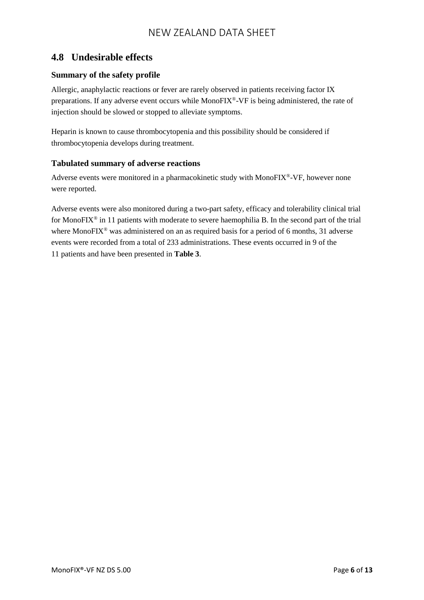### **4.8 Undesirable effects**

#### **Summary of the safety profile**

Allergic, anaphylactic reactions or fever are rarely observed in patients receiving factor IX preparations. If any adverse event occurs while MonoFIX®-VF is being administered, the rate of injection should be slowed or stopped to alleviate symptoms.

Heparin is known to cause thrombocytopenia and this possibility should be considered if thrombocytopenia develops during treatment.

#### **Tabulated summary of adverse reactions**

Adverse events were monitored in a pharmacokinetic study with MonoFIX®-VF, however none were reported.

Adverse events were also monitored during a two-part safety, efficacy and tolerability clinical trial for MonoFIX® in 11 patients with moderate to severe haemophilia B. In the second part of the trial where MonoFIX<sup>®</sup> was administered on an as required basis for a period of 6 months, 31 adverse events were recorded from a total of 233 administrations. These events occurred in 9 of the 11 patients and have been presented in **Table 3**.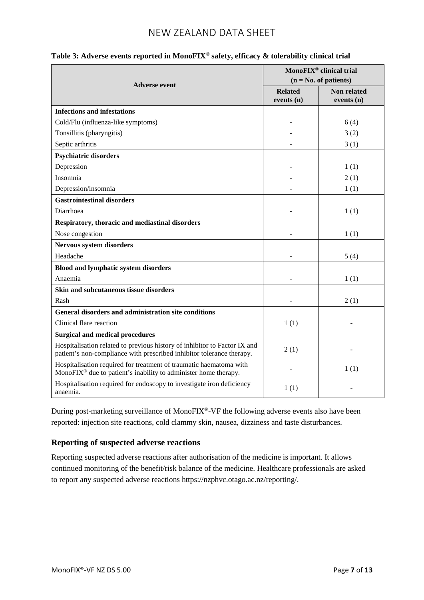|                                                                                                                                                    | MonoFIX <sup>®</sup> clinical trial<br>$(n = No. of patients)$ |                             |
|----------------------------------------------------------------------------------------------------------------------------------------------------|----------------------------------------------------------------|-----------------------------|
| <b>Adverse event</b>                                                                                                                               | <b>Related</b><br>events $(n)$                                 | Non related<br>events $(n)$ |
| <b>Infections and infestations</b>                                                                                                                 |                                                                |                             |
| Cold/Flu (influenza-like symptoms)                                                                                                                 |                                                                | 6(4)                        |
| Tonsillitis (pharyngitis)                                                                                                                          |                                                                | 3(2)                        |
| Septic arthritis                                                                                                                                   |                                                                | 3(1)                        |
| <b>Psychiatric disorders</b>                                                                                                                       |                                                                |                             |
| Depression                                                                                                                                         |                                                                | 1(1)                        |
| Insomnia                                                                                                                                           |                                                                | 2(1)                        |
| Depression/insomnia                                                                                                                                |                                                                | 1(1)                        |
| <b>Gastrointestinal disorders</b>                                                                                                                  |                                                                |                             |
| Diarrhoea                                                                                                                                          |                                                                | 1(1)                        |
| Respiratory, thoracic and mediastinal disorders                                                                                                    |                                                                |                             |
| Nose congestion                                                                                                                                    |                                                                | 1(1)                        |
| Nervous system disorders                                                                                                                           |                                                                |                             |
| Headache                                                                                                                                           |                                                                | 5(4)                        |
| <b>Blood and lymphatic system disorders</b>                                                                                                        |                                                                |                             |
| Anaemia                                                                                                                                            |                                                                | 1(1)                        |
| Skin and subcutaneous tissue disorders                                                                                                             |                                                                |                             |
| Rash                                                                                                                                               |                                                                | 2(1)                        |
| General disorders and administration site conditions                                                                                               |                                                                |                             |
| Clinical flare reaction                                                                                                                            | 1(1)                                                           |                             |
| <b>Surgical and medical procedures</b>                                                                                                             |                                                                |                             |
| Hospitalisation related to previous history of inhibitor to Factor IX and<br>patient's non-compliance with prescribed inhibitor tolerance therapy. | 2(1)                                                           |                             |
| Hospitalisation required for treatment of traumatic haematoma with<br>MonoFIX <sup>®</sup> due to patient's inability to administer home therapy.  |                                                                | 1(1)                        |
| Hospitalisation required for endoscopy to investigate iron deficiency<br>anaemia.                                                                  | 1(1)                                                           |                             |

### **Table 3: Adverse events reported in MonoFIX® safety, efficacy & tolerability clinical trial**

During post-marketing surveillance of MonoFIX®-VF the following adverse events also have been reported: injection site reactions, cold clammy skin, nausea, dizziness and taste disturbances.

#### **Reporting of suspected adverse reactions**

Reporting suspected adverse reactions after authorisation of the medicine is important. It allows continued monitoring of the benefit/risk balance of the medicine. Healthcare professionals are asked to report any suspected adverse reactions [https://nzphvc.otago.ac.nz/reporting/.](https://nzphvc.otago.ac.nz/reporting/)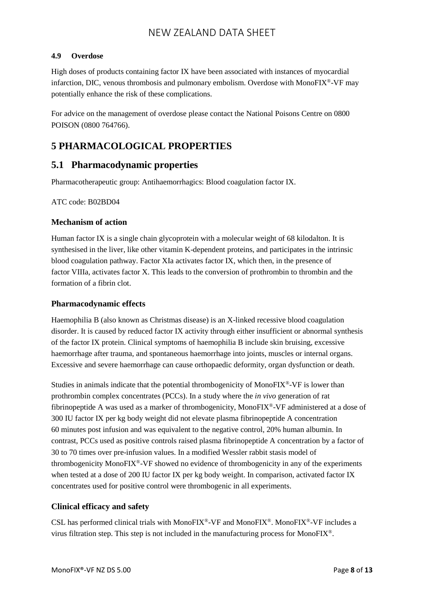#### **4.9 Overdose**

High doses of products containing factor IX have been associated with instances of myocardial infarction, DIC, venous thrombosis and pulmonary embolism. Overdose with MonoFIX®-VF may potentially enhance the risk of these complications.

For advice on the management of overdose please contact the National Poisons Centre on 0800 POISON (0800 764766).

## **5 PHARMACOLOGICAL PROPERTIES**

### **5.1 Pharmacodynamic properties**

Pharmacotherapeutic group: Antihaemorrhagics: Blood coagulation factor IX.

ATC code: B02BD04

#### **Mechanism of action**

Human factor IX is a single chain glycoprotein with a molecular weight of 68 kilodalton. It is synthesised in the liver, like other vitamin K-dependent proteins, and participates in the intrinsic blood coagulation pathway. Factor XIa activates factor IX, which then, in the presence of factor VIIIa, activates factor X. This leads to the conversion of prothrombin to thrombin and the formation of a fibrin clot.

#### **Pharmacodynamic effects**

Haemophilia B (also known as Christmas disease) is an X-linked recessive blood coagulation disorder. It is caused by reduced factor IX activity through either insufficient or abnormal synthesis of the factor IX protein. Clinical symptoms of haemophilia B include skin bruising, excessive haemorrhage after trauma, and spontaneous haemorrhage into joints, muscles or internal organs. Excessive and severe haemorrhage can cause orthopaedic deformity, organ dysfunction or death.

Studies in animals indicate that the potential thrombogenicity of MonoFIX<sup>®</sup>-VF is lower than prothrombin complex concentrates (PCCs). In a study where the *in vivo* generation of rat fibrinopeptide A was used as a marker of thrombogenicity, MonoFIX®-VF administered at a dose of 300 IU factor IX per kg body weight did not elevate plasma fibrinopeptide A concentration 60 minutes post infusion and was equivalent to the negative control, 20% human albumin. In contrast, PCCs used as positive controls raised plasma fibrinopeptide A concentration by a factor of 30 to 70 times over pre-infusion values. In a modified Wessler rabbit stasis model of thrombogenicity MonoFIX®-VF showed no evidence of thrombogenicity in any of the experiments when tested at a dose of 200 IU factor IX per kg body weight. In comparison, activated factor IX concentrates used for positive control were thrombogenic in all experiments.

#### **Clinical efficacy and safety**

CSL has performed clinical trials with MonoFIX<sup>®</sup>-VF and MonoFIX<sup>®</sup>. MonoFIX<sup>®</sup>-VF includes a virus filtration step. This step is not included in the manufacturing process for MonoFIX®.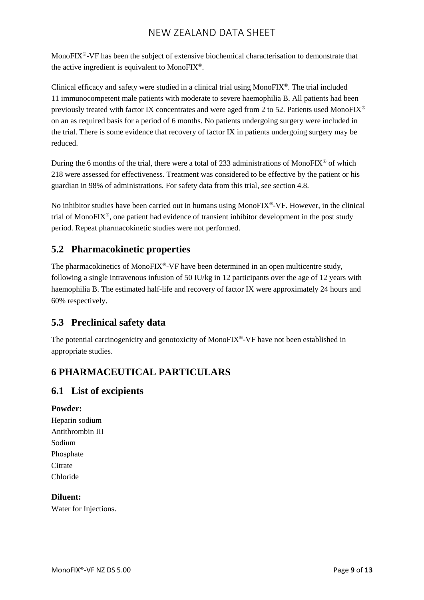MonoFIX<sup>®</sup>-VF has been the subject of extensive biochemical characterisation to demonstrate that the active ingredient is equivalent to MonoFIX®.

Clinical efficacy and safety were studied in a clinical trial using MonoFIX®. The trial included 11 immunocompetent male patients with moderate to severe haemophilia B. All patients had been previously treated with factor IX concentrates and were aged from 2 to 52. Patients used MonoFIX<sup>®</sup> on an as required basis for a period of 6 months. No patients undergoing surgery were included in the trial. There is some evidence that recovery of factor IX in patients undergoing surgery may be reduced.

During the 6 months of the trial, there were a total of 233 administrations of MonoFIX<sup>®</sup> of which 218 were assessed for effectiveness. Treatment was considered to be effective by the patient or his guardian in 98% of administrations. For safety data from this trial, see section 4.8.

No inhibitor studies have been carried out in humans using MonoFIX<sup>®</sup>-VF. However, in the clinical trial of MonoFIX®, one patient had evidence of transient inhibitor development in the post study period. Repeat pharmacokinetic studies were not performed.

## **5.2 Pharmacokinetic properties**

The pharmacokinetics of MonoFIX<sup>®</sup>-VF have been determined in an open multicentre study, following a single intravenous infusion of 50 IU/kg in 12 participants over the age of 12 years with haemophilia B. The estimated half-life and recovery of factor IX were approximately 24 hours and 60% respectively.

### **5.3 Preclinical safety data**

The potential carcinogenicity and genotoxicity of MonoFIX<sup>®</sup>-VF have not been established in appropriate studies.

# **6 PHARMACEUTICAL PARTICULARS**

### **6.1 List of excipients**

#### **Powder:**

Heparin sodium Antithrombin III Sodium Phosphate **Citrate** Chloride

#### **Diluent:**

Water for Injections.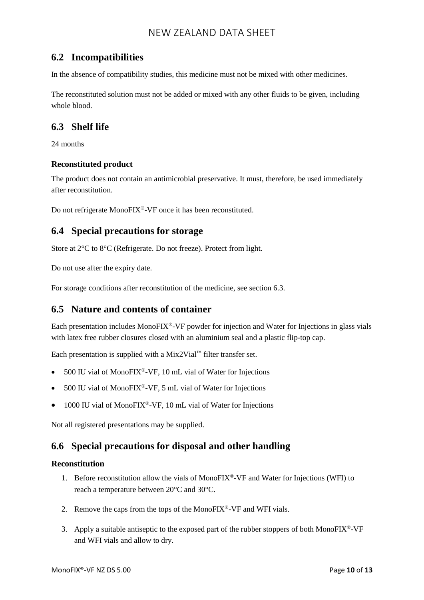### **6.2 Incompatibilities**

In the absence of compatibility studies, this medicine must not be mixed with other medicines.

The reconstituted solution must not be added or mixed with any other fluids to be given, including whole blood.

### **6.3 Shelf life**

24 months

#### **Reconstituted product**

The product does not contain an antimicrobial preservative. It must, therefore, be used immediately after reconstitution.

Do not refrigerate MonoFIX®-VF once it has been reconstituted.

### **6.4 Special precautions for storage**

Store at 2°C to 8°C (Refrigerate. Do not freeze). Protect from light.

Do not use after the expiry date.

For storage conditions after reconstitution of the medicine, see section 6.3.

### **6.5 Nature and contents of container**

Each presentation includes MonoFIX®-VF powder for injection and Water for Injections in glass vials with latex free rubber closures closed with an aluminium seal and a plastic flip-top cap.

Each presentation is supplied with a Mix2Vial<sup>™</sup> filter transfer set.

- 500 IU vial of MonoFIX®-VF, 10 mL vial of Water for Injections
- 500 IU vial of MonoFIX®-VF, 5 mL vial of Water for Injections
- 1000 IU vial of MonoFIX®-VF, 10 mL vial of Water for Injections

Not all registered presentations may be supplied.

### **6.6 Special precautions for disposal and other handling**

#### **Reconstitution**

- 1. Before reconstitution allow the vials of MonoFIX®-VF and Water for Injections (WFI) to reach a temperature between 20°C and 30°C.
- 2. Remove the caps from the tops of the MonoFIX<sup>®</sup>-VF and WFI vials.
- 3. Apply a suitable antiseptic to the exposed part of the rubber stoppers of both MonoFIX<sup>®</sup>-VF and WFI vials and allow to dry.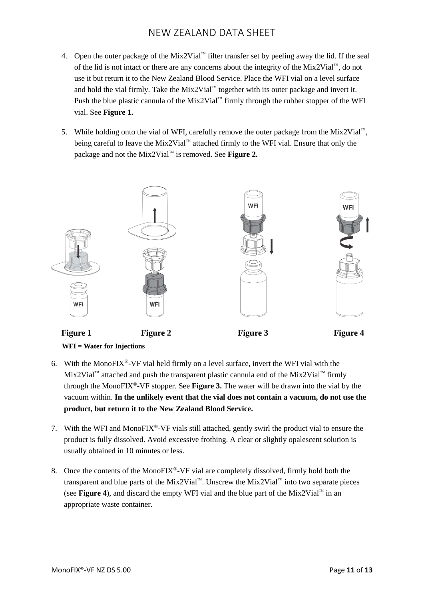- 4. Open the outer package of the Mix2Vial<sup>™</sup> filter transfer set by peeling away the lid. If the seal of the lid is not intact or there are any concerns about the integrity of the Mix2Vial™, do not use it but return it to the New Zealand Blood Service. Place the WFI vial on a level surface and hold the vial firmly. Take the Mix2Vial™ together with its outer package and invert it. Push the blue plastic cannula of the Mix2Vial<sup>™</sup> firmly through the rubber stopper of the WFI vial. See **Figure 1.**
- 5. While holding onto the vial of WFI, carefully remove the outer package from the Mix2Vial™, being careful to leave the Mix2Vial™ attached firmly to the WFI vial. Ensure that only the package and not the Mix2Vial™ is removed. See **Figure 2.**



- 
- 6. With the MonoFIX<sup>®</sup>-VF vial held firmly on a level surface, invert the WFI vial with the Mix2Vial™ attached and push the transparent plastic cannula end of the Mix2Vial™ firmly through the MonoFIX®-VF stopper. See **Figure 3.** The water will be drawn into the vial by the vacuum within. **In the unlikely event that the vial does not contain a vacuum, do not use the product, but return it to the New Zealand Blood Service.**
- 7. With the WFI and MonoFIX®-VF vials still attached, gently swirl the product vial to ensure the product is fully dissolved. Avoid excessive frothing. A clear or slightly opalescent solution is usually obtained in 10 minutes or less.
- 8. Once the contents of the MonoFIX<sup>®</sup>-VF vial are completely dissolved, firmly hold both the transparent and blue parts of the Mix2Vial™. Unscrew the Mix2Vial™ into two separate pieces (see **Figure** 4), and discard the empty WFI vial and the blue part of the Mix2Vial<sup>™</sup> in an appropriate waste container.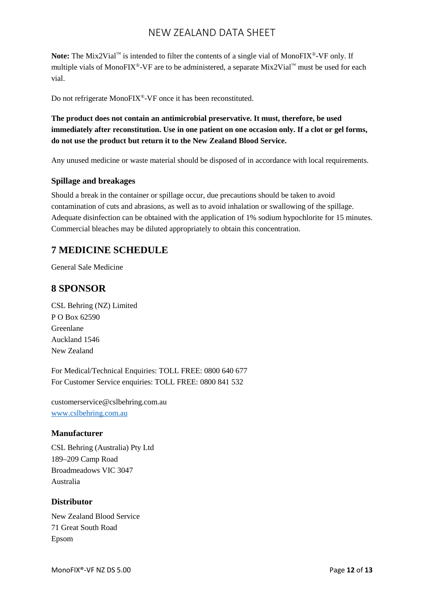Note: The Mix2Vial<sup>™</sup> is intended to filter the contents of a single vial of MonoFIX<sup>®</sup>-VF only. If multiple vials of MonoFIX®-VF are to be administered, a separate Mix2Vial™ must be used for each vial.

Do not refrigerate MonoFIX®-VF once it has been reconstituted.

**The product does not contain an antimicrobial preservative. It must, therefore, be used immediately after reconstitution. Use in one patient on one occasion only. If a clot or gel forms, do not use the product but return it to the New Zealand Blood Service.**

Any unused medicine or waste material should be disposed of in accordance with local requirements.

#### **Spillage and breakages**

Should a break in the container or spillage occur, due precautions should be taken to avoid contamination of cuts and abrasions, as well as to avoid inhalation or swallowing of the spillage. Adequate disinfection can be obtained with the application of 1% sodium hypochlorite for 15 minutes. Commercial bleaches may be diluted appropriately to obtain this concentration.

### **7 MEDICINE SCHEDULE**

General Sale Medicine

### **8 SPONSOR**

CSL Behring (NZ) Limited P O Box 62590 Greenlane Auckland 1546 New Zealand

For Medical/Technical Enquiries: TOLL FREE: 0800 640 677 For Customer Service enquiries: TOLL FREE: 0800 841 532

customerservice@cslbehring.com.au [www.cslbehring.com.au](http://www.cslbehring.com.au/)

#### **Manufacturer**

CSL Behring (Australia) Pty Ltd 189–209 Camp Road Broadmeadows VIC 3047 Australia

#### **Distributor**

New Zealand Blood Service 71 Great South Road Epsom